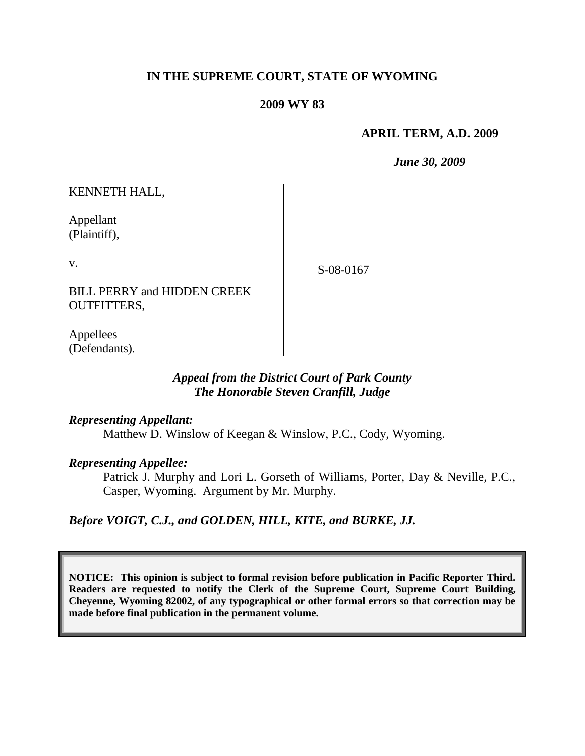# **IN THE SUPREME COURT, STATE OF WYOMING**

#### **2009 WY 83**

#### **APRIL TERM, A.D. 2009**

*June 30, 2009*

KENNETH HALL,

Appellant (Plaintiff),

v.

S-08-0167

BILL PERRY and HIDDEN CREEK OUTFITTERS,

Appellees (Defendants).

#### *Appeal from the District Court of Park County The Honorable Steven Cranfill, Judge*

*Representing Appellant:*

Matthew D. Winslow of Keegan & Winslow, P.C., Cody, Wyoming.

*Representing Appellee:*

Patrick J. Murphy and Lori L. Gorseth of Williams, Porter, Day & Neville, P.C., Casper, Wyoming. Argument by Mr. Murphy.

*Before VOIGT, C.J., and GOLDEN, HILL, KITE, and BURKE, JJ.*

**NOTICE: This opinion is subject to formal revision before publication in Pacific Reporter Third. Readers are requested to notify the Clerk of the Supreme Court, Supreme Court Building, Cheyenne, Wyoming 82002, of any typographical or other formal errors so that correction may be made before final publication in the permanent volume.**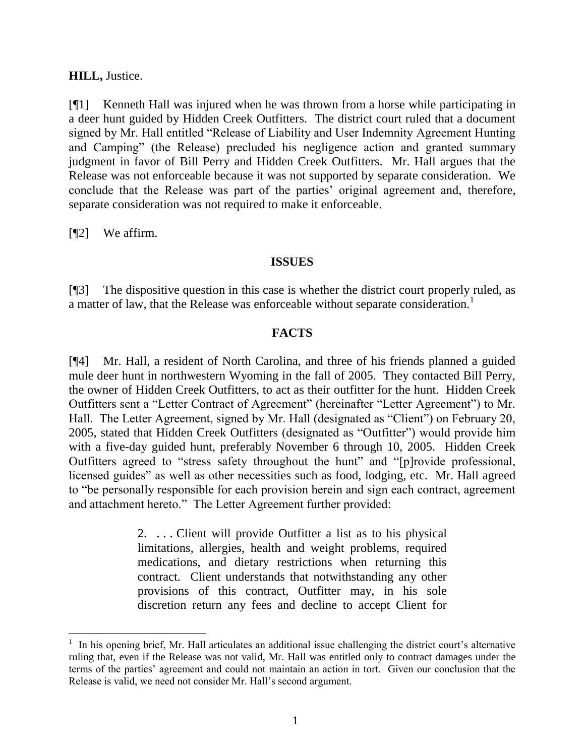#### **HILL,** Justice.

[¶1] Kenneth Hall was injured when he was thrown from a horse while participating in a deer hunt guided by Hidden Creek Outfitters. The district court ruled that a document signed by Mr. Hall entitled "Release of Liability and User Indemnity Agreement Hunting and Camping" (the Release) precluded his negligence action and granted summary judgment in favor of Bill Perry and Hidden Creek Outfitters. Mr. Hall argues that the Release was not enforceable because it was not supported by separate consideration. We conclude that the Release was part of the parties' original agreement and, therefore, separate consideration was not required to make it enforceable.

[¶2] We affirm.

#### **ISSUES**

[¶3] The dispositive question in this case is whether the district court properly ruled, as a matter of law, that the Release was enforceable without separate consideration.<sup>1</sup>

# **FACTS**

[¶4] Mr. Hall, a resident of North Carolina, and three of his friends planned a guided mule deer hunt in northwestern Wyoming in the fall of 2005. They contacted Bill Perry, the owner of Hidden Creek Outfitters, to act as their outfitter for the hunt. Hidden Creek Outfitters sent a "Letter Contract of Agreement" (hereinafter "Letter Agreement") to Mr. Hall. The Letter Agreement, signed by Mr. Hall (designated as "Client") on February 20, 2005, stated that Hidden Creek Outfitters (designated as "Outfitter") would provide him with a five-day guided hunt, preferably November 6 through 10, 2005. Hidden Creek Outfitters agreed to "stress safety throughout the hunt" and "[p]rovide professional, licensed guides" as well as other necessities such as food, lodging, etc. Mr. Hall agreed to "be personally responsible for each provision herein and sign each contract, agreement and attachment hereto." The Letter Agreement further provided:

> 2. . . . Client will provide Outfitter a list as to his physical limitations, allergies, health and weight problems, required medications, and dietary restrictions when returning this contract. Client understands that notwithstanding any other provisions of this contract, Outfitter may, in his sole discretion return any fees and decline to accept Client for

<sup>1</sup> In his opening brief, Mr. Hall articulates an additional issue challenging the district court's alternative ruling that, even if the Release was not valid, Mr. Hall was entitled only to contract damages under the terms of the parties' agreement and could not maintain an action in tort. Given our conclusion that the Release is valid, we need not consider Mr. Hall's second argument.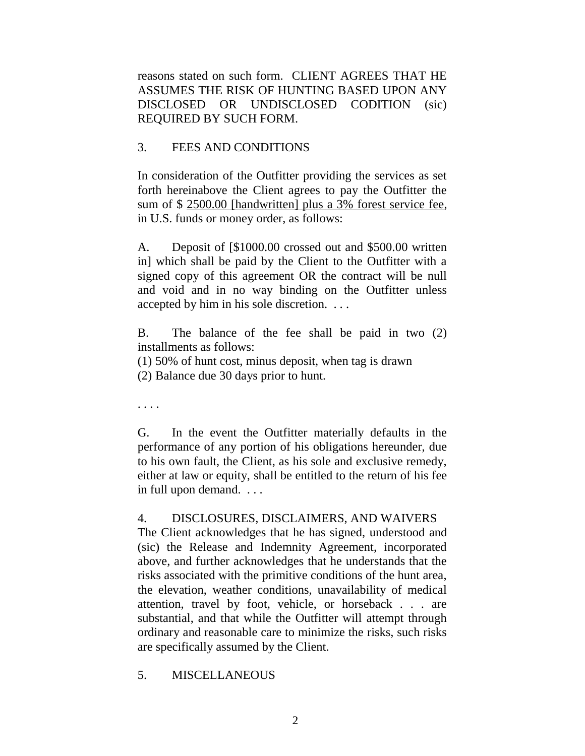reasons stated on such form. CLIENT AGREES THAT HE ASSUMES THE RISK OF HUNTING BASED UPON ANY DISCLOSED OR UNDISCLOSED CODITION (sic) REQUIRED BY SUCH FORM.

# 3. FEES AND CONDITIONS

In consideration of the Outfitter providing the services as set forth hereinabove the Client agrees to pay the Outfitter the sum of \$ 2500.00 [handwritten] plus a 3% forest service fee, in U.S. funds or money order, as follows:

A. Deposit of [\$1000.00 crossed out and \$500.00 written in] which shall be paid by the Client to the Outfitter with a signed copy of this agreement OR the contract will be null and void and in no way binding on the Outfitter unless accepted by him in his sole discretion. . . .

B. The balance of the fee shall be paid in two (2) installments as follows:

(1) 50% of hunt cost, minus deposit, when tag is drawn (2) Balance due 30 days prior to hunt.

. . . .

G. In the event the Outfitter materially defaults in the performance of any portion of his obligations hereunder, due to his own fault, the Client, as his sole and exclusive remedy, either at law or equity, shall be entitled to the return of his fee in full upon demand. . . .

# 4. DISCLOSURES, DISCLAIMERS, AND WAIVERS

The Client acknowledges that he has signed, understood and (sic) the Release and Indemnity Agreement, incorporated above, and further acknowledges that he understands that the risks associated with the primitive conditions of the hunt area, the elevation, weather conditions, unavailability of medical attention, travel by foot, vehicle, or horseback . . . are substantial, and that while the Outfitter will attempt through ordinary and reasonable care to minimize the risks, such risks are specifically assumed by the Client.

# 5. MISCELLANEOUS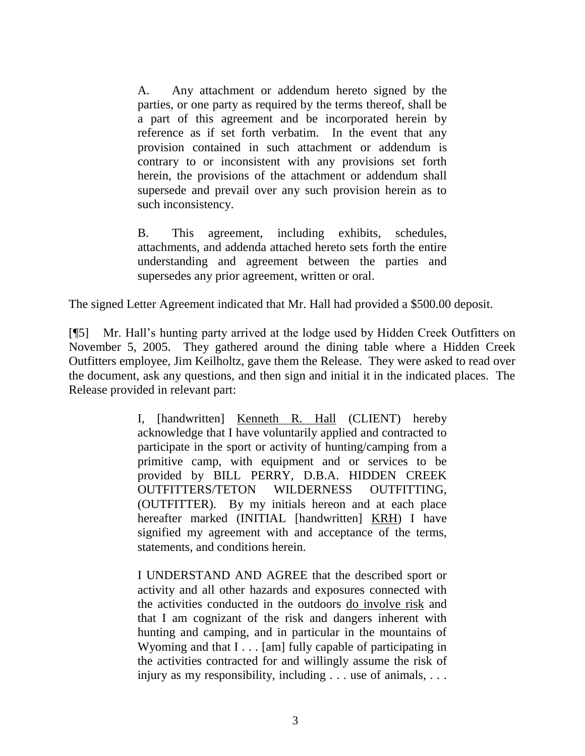A. Any attachment or addendum hereto signed by the parties, or one party as required by the terms thereof, shall be a part of this agreement and be incorporated herein by reference as if set forth verbatim. In the event that any provision contained in such attachment or addendum is contrary to or inconsistent with any provisions set forth herein, the provisions of the attachment or addendum shall supersede and prevail over any such provision herein as to such inconsistency.

B. This agreement, including exhibits, schedules, attachments, and addenda attached hereto sets forth the entire understanding and agreement between the parties and supersedes any prior agreement, written or oral.

The signed Letter Agreement indicated that Mr. Hall had provided a \$500.00 deposit.

[¶5] Mr. Hall's hunting party arrived at the lodge used by Hidden Creek Outfitters on November 5, 2005. They gathered around the dining table where a Hidden Creek Outfitters employee, Jim Keilholtz, gave them the Release. They were asked to read over the document, ask any questions, and then sign and initial it in the indicated places. The Release provided in relevant part:

> I, [handwritten] Kenneth R. Hall (CLIENT) hereby acknowledge that I have voluntarily applied and contracted to participate in the sport or activity of hunting/camping from a primitive camp, with equipment and or services to be provided by BILL PERRY, D.B.A. HIDDEN CREEK OUTFITTERS/TETON WILDERNESS OUTFITTING, (OUTFITTER). By my initials hereon and at each place hereafter marked (INITIAL [handwritten] KRH) I have signified my agreement with and acceptance of the terms, statements, and conditions herein.

> I UNDERSTAND AND AGREE that the described sport or activity and all other hazards and exposures connected with the activities conducted in the outdoors do involve risk and that I am cognizant of the risk and dangers inherent with hunting and camping, and in particular in the mountains of Wyoming and that I . . . [am] fully capable of participating in the activities contracted for and willingly assume the risk of injury as my responsibility, including . . . use of animals, . . .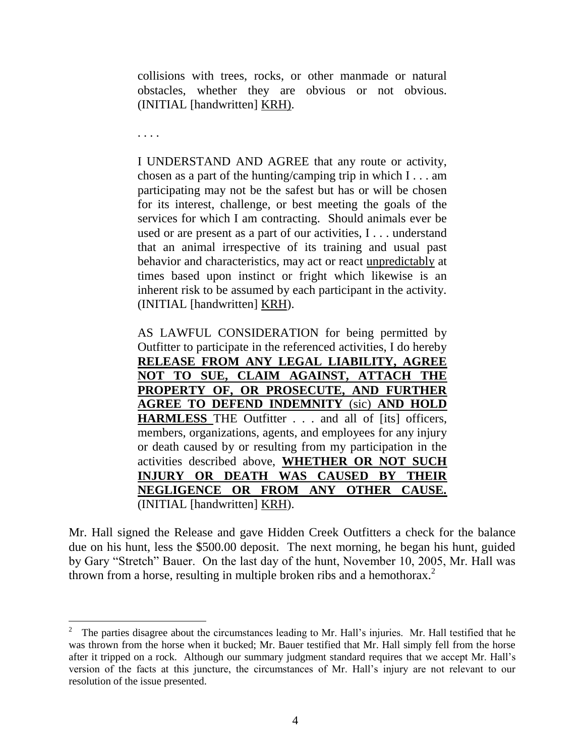collisions with trees, rocks, or other manmade or natural obstacles, whether they are obvious or not obvious. (INITIAL [handwritten] KRH).

. . . .

I UNDERSTAND AND AGREE that any route or activity, chosen as a part of the hunting/camping trip in which  $I \dots$  am participating may not be the safest but has or will be chosen for its interest, challenge, or best meeting the goals of the services for which I am contracting. Should animals ever be used or are present as a part of our activities, I . . . understand that an animal irrespective of its training and usual past behavior and characteristics, may act or react unpredictably at times based upon instinct or fright which likewise is an inherent risk to be assumed by each participant in the activity. (INITIAL [handwritten] KRH).

AS LAWFUL CONSIDERATION for being permitted by Outfitter to participate in the referenced activities, I do hereby **RELEASE FROM ANY LEGAL LIABILITY, AGREE NOT TO SUE, CLAIM AGAINST, ATTACH THE PROPERTY OF, OR PROSECUTE, AND FURTHER AGREE TO DEFEND INDEMNITY** (sic) **AND HOLD HARMLESS** THE Outfitter . . . and all of [its] officers, members, organizations, agents, and employees for any injury or death caused by or resulting from my participation in the activities described above, **WHETHER OR NOT SUCH INJURY OR DEATH WAS CAUSED BY THEIR NEGLIGENCE OR FROM ANY OTHER CAUSE.** (INITIAL [handwritten] KRH).

Mr. Hall signed the Release and gave Hidden Creek Outfitters a check for the balance due on his hunt, less the \$500.00 deposit. The next morning, he began his hunt, guided by Gary "Stretch" Bauer. On the last day of the hunt, November 10, 2005, Mr. Hall was thrown from a horse, resulting in multiple broken ribs and a hemothorax.<sup>2</sup>

<sup>2</sup> The parties disagree about the circumstances leading to Mr. Hall's injuries. Mr. Hall testified that he was thrown from the horse when it bucked; Mr. Bauer testified that Mr. Hall simply fell from the horse after it tripped on a rock. Although our summary judgment standard requires that we accept Mr. Hall's version of the facts at this juncture, the circumstances of Mr. Hall's injury are not relevant to our resolution of the issue presented.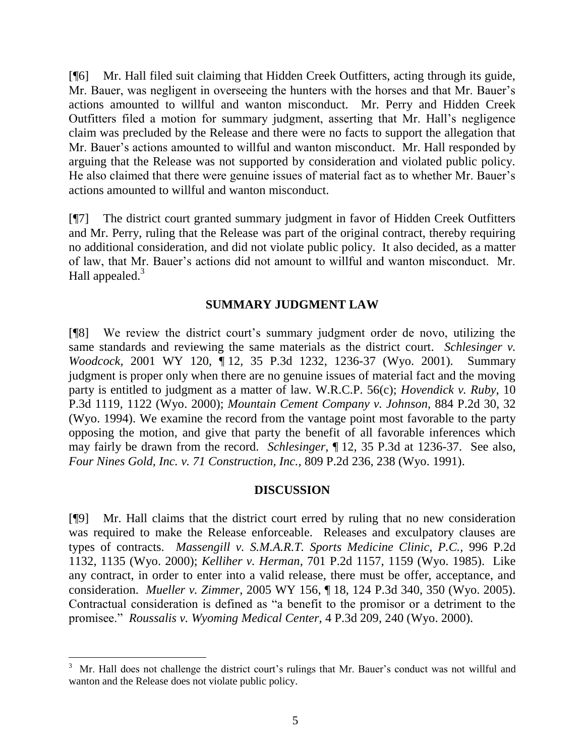[¶6] Mr. Hall filed suit claiming that Hidden Creek Outfitters, acting through its guide, Mr. Bauer, was negligent in overseeing the hunters with the horses and that Mr. Bauer's actions amounted to willful and wanton misconduct. Mr. Perry and Hidden Creek Outfitters filed a motion for summary judgment, asserting that Mr. Hall's negligence claim was precluded by the Release and there were no facts to support the allegation that Mr. Bauer's actions amounted to willful and wanton misconduct. Mr. Hall responded by arguing that the Release was not supported by consideration and violated public policy. He also claimed that there were genuine issues of material fact as to whether Mr. Bauer's actions amounted to willful and wanton misconduct.

[¶7] The district court granted summary judgment in favor of Hidden Creek Outfitters and Mr. Perry, ruling that the Release was part of the original contract, thereby requiring no additional consideration, and did not violate public policy. It also decided, as a matter of law, that Mr. Bauer's actions did not amount to willful and wanton misconduct. Mr. Hall appealed. $3$ 

#### **SUMMARY JUDGMENT LAW**

[¶8] We review the district court's summary judgment order de novo, utilizing the same standards and reviewing the same materials as the district court. *Schlesinger v. Woodcock,* 2001 WY 120, ¶ 12, 35 P.3d 1232, 1236-37 (Wyo. 2001). Summary judgment is proper only when there are no genuine issues of material fact and the moving party is entitled to judgment as a matter of law. W.R.C.P. 56(c); *[Hovendick v. Ruby,](http://www.westlaw.com/Find/Default.wl?rs=dfa1.0&vr=2.0&DB=4645&FindType=Y&ReferencePositionType=S&SerialNum=2000481838&ReferencePosition=1122)* [10](http://www.westlaw.com/Find/Default.wl?rs=dfa1.0&vr=2.0&DB=4645&FindType=Y&ReferencePositionType=S&SerialNum=2000481838&ReferencePosition=1122)  P.3d 1119, 1122 (Wyo. 2000); *[Mountain Cement Company v. Johnson,](http://www.westlaw.com/Find/Default.wl?rs=dfa1.0&vr=2.0&DB=661&FindType=Y&ReferencePositionType=S&SerialNum=1994214537&ReferencePosition=32)* [884 P.2d 30, 32](http://www.westlaw.com/Find/Default.wl?rs=dfa1.0&vr=2.0&DB=661&FindType=Y&ReferencePositionType=S&SerialNum=1994214537&ReferencePosition=32)  (Wyo. 1994). We examine the record from the vantage point most favorable to the party opposing the motion, and give that party the benefit of all favorable inferences which may fairly be drawn from the record. *Schlesinger,* ¶ 12, 35 P.3d at 1236-37. See also, *[Four Nines Gold, Inc. v. 71 Construction, Inc.,](http://www.westlaw.com/Find/Default.wl?rs=dfa1.0&vr=2.0&DB=661&FindType=Y&ReferencePositionType=S&SerialNum=1991071997&ReferencePosition=238)* [809 P.2d 236, 238 \(Wyo. 1991\).](http://www.westlaw.com/Find/Default.wl?rs=dfa1.0&vr=2.0&DB=661&FindType=Y&ReferencePositionType=S&SerialNum=1991071997&ReferencePosition=238)

# **DISCUSSION**

[¶9] Mr. Hall claims that the district court erred by ruling that no new consideration was required to make the Release enforceable. Releases and exculpatory clauses are types of contracts. *Massengill v. S.M.A.R.T. Sports Medicine Clinic, P.C.,* 996 P.2d 1132, 1135 (Wyo. 2000); *Kelliher v. Herman,* 701 P.2d 1157, 1159 (Wyo. 1985). Like any contract, in order to enter into a valid release, there must be offer, acceptance, and consideration. *Mueller v. Zimmer,* 2005 WY 156, ¶ 18, 124 P.3d 340, 350 (Wyo. 2005). Contractual consideration is defined as "a benefit to the promisor or a detriment to the promisee." *Roussalis v. Wyoming Medical Center,* 4 P.3d 209, 240 (Wyo. 2000).

l

<sup>3</sup> Mr. Hall does not challenge the district court's rulings that Mr. Bauer's conduct was not willful and wanton and the Release does not violate public policy.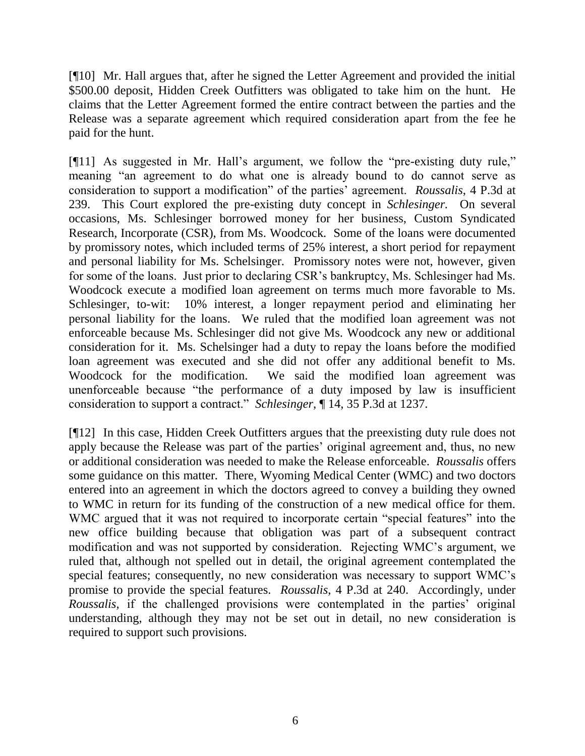[¶10] Mr. Hall argues that, after he signed the Letter Agreement and provided the initial \$500.00 deposit, Hidden Creek Outfitters was obligated to take him on the hunt. He claims that the Letter Agreement formed the entire contract between the parties and the Release was a separate agreement which required consideration apart from the fee he paid for the hunt.

[¶11] As suggested in Mr. Hall's argument, we follow the "pre-existing duty rule," meaning "an agreement to do what one is already bound to do cannot serve as consideration to support a modification" of the parties' agreement. *Roussalis*, 4 P.3d at 239. This Court explored the pre-existing duty concept in *Schlesinger.* On several occasions, Ms. Schlesinger borrowed money for her business, Custom Syndicated Research, Incorporate (CSR), from Ms. Woodcock*.* Some of the loans were documented by promissory notes, which included terms of 25% interest, a short period for repayment and personal liability for Ms. Schelsinger. Promissory notes were not, however, given for some of the loans. Just prior to declaring CSR's bankruptcy, Ms. Schlesinger had Ms. Woodcock execute a modified loan agreement on terms much more favorable to Ms. Schlesinger, to-wit: 10% interest, a longer repayment period and eliminating her personal liability for the loans. We ruled that the modified loan agreement was not enforceable because Ms. Schlesinger did not give Ms. Woodcock any new or additional consideration for it. Ms. Schelsinger had a duty to repay the loans before the modified loan agreement was executed and she did not offer any additional benefit to Ms. Woodcock for the modification. We said the modified loan agreement was unenforceable because "the performance of a duty imposed by law is insufficient consideration to support a contract." *Schlesinger*, ¶ 14, 35 P.3d at 1237.

[¶12] In this case, Hidden Creek Outfitters argues that the preexisting duty rule does not apply because the Release was part of the parties' original agreement and, thus, no new or additional consideration was needed to make the Release enforceable. *Roussalis* offers some guidance on this matter*.* There*,* Wyoming Medical Center (WMC) and two doctors entered into an agreement in which the doctors agreed to convey a building they owned to WMC in return for its funding of the construction of a new medical office for them. WMC argued that it was not required to incorporate certain "special features" into the new office building because that obligation was part of a subsequent contract modification and was not supported by consideration. Rejecting WMC's argument, we ruled that, although not spelled out in detail, the original agreement contemplated the special features; consequently, no new consideration was necessary to support WMC's promise to provide the special features. *Roussalis*, 4 P.3d at 240. Accordingly, under *Roussalis,* if the challenged provisions were contemplated in the parties' original understanding, although they may not be set out in detail, no new consideration is required to support such provisions.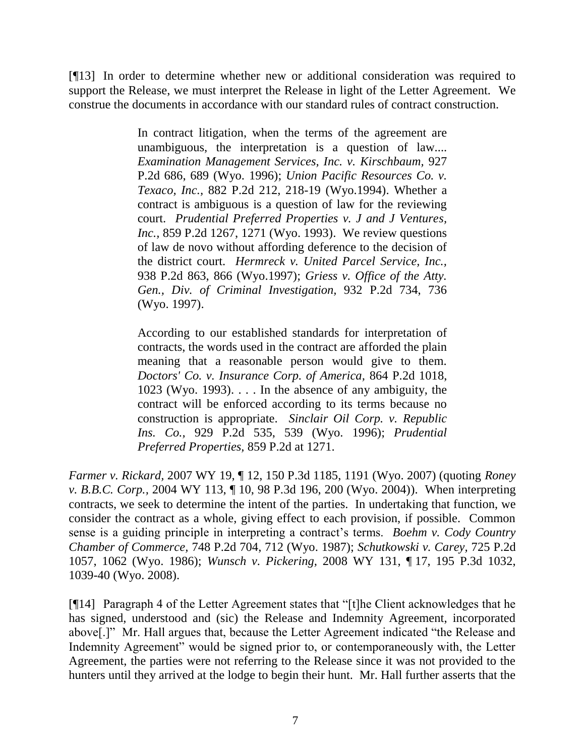[¶13] In order to determine whether new or additional consideration was required to support the Release, we must interpret the Release in light of the Letter Agreement. We construe the documents in accordance with our standard rules of contract construction.

> In contract litigation, when the terms of the agreement are unambiguous, the interpretation is a question of law.... *[Examination Management Services, Inc. v. Kirschbaum,](http://www.westlaw.com/Find/Default.wl?rs=dfa1.0&vr=2.0&DB=661&FindType=Y&ReferencePositionType=S&SerialNum=1996244838&ReferencePosition=689)* [927](http://www.westlaw.com/Find/Default.wl?rs=dfa1.0&vr=2.0&DB=661&FindType=Y&ReferencePositionType=S&SerialNum=1996244838&ReferencePosition=689)  P.2d 686, 689 (Wyo. 1996); *Union [Pacific Resources Co. v.](http://www.westlaw.com/Find/Default.wl?rs=dfa1.0&vr=2.0&DB=661&FindType=Y&ReferencePositionType=S&SerialNum=1994196633&ReferencePosition=218)  [Texaco, Inc.,](http://www.westlaw.com/Find/Default.wl?rs=dfa1.0&vr=2.0&DB=661&FindType=Y&ReferencePositionType=S&SerialNum=1994196633&ReferencePosition=218)* [882 P.2d 212, 218-19 \(Wyo.1994\).](http://www.westlaw.com/Find/Default.wl?rs=dfa1.0&vr=2.0&DB=661&FindType=Y&ReferencePositionType=S&SerialNum=1994196633&ReferencePosition=218) Whether a contract is ambiguous is a question of law for the reviewing court. *[Prudential Preferred Properties v. J and J Ventures,](http://www.westlaw.com/Find/Default.wl?rs=dfa1.0&vr=2.0&DB=661&FindType=Y&ReferencePositionType=S&SerialNum=1993179048&ReferencePosition=1271)  [Inc.,](http://www.westlaw.com/Find/Default.wl?rs=dfa1.0&vr=2.0&DB=661&FindType=Y&ReferencePositionType=S&SerialNum=1993179048&ReferencePosition=1271)* [859 P.2d 1267, 1271 \(Wyo. 1993\).](http://www.westlaw.com/Find/Default.wl?rs=dfa1.0&vr=2.0&DB=661&FindType=Y&ReferencePositionType=S&SerialNum=1993179048&ReferencePosition=1271) We review questions of law de novo without affording deference to the decision of the district court. *[Hermreck v. United Parcel Service, Inc.,](http://www.westlaw.com/Find/Default.wl?rs=dfa1.0&vr=2.0&DB=661&FindType=Y&ReferencePositionType=S&SerialNum=1997125822&ReferencePosition=866)* 938 P.2d 863, 866 (Wyo.1997); *[Griess v. Office of the Atty.](http://www.westlaw.com/Find/Default.wl?rs=dfa1.0&vr=2.0&DB=661&FindType=Y&ReferencePositionType=S&SerialNum=1997037978&ReferencePosition=736)  [Gen., Div. of Criminal Investigation,](http://www.westlaw.com/Find/Default.wl?rs=dfa1.0&vr=2.0&DB=661&FindType=Y&ReferencePositionType=S&SerialNum=1997037978&ReferencePosition=736)* [932 P.2d 734, 736](http://www.westlaw.com/Find/Default.wl?rs=dfa1.0&vr=2.0&DB=661&FindType=Y&ReferencePositionType=S&SerialNum=1997037978&ReferencePosition=736)  (Wyo. 1997).

> According to our established standards for interpretation of contracts, the words used in the contract are afforded the plain meaning that a reasonable person would give to them. *[Doctors' Co. v. Insurance Corp. of America,](http://www.westlaw.com/Find/Default.wl?rs=dfa1.0&vr=2.0&DB=661&FindType=Y&ReferencePositionType=S&SerialNum=1993228400&ReferencePosition=1023)* [864 P.2d 1018,](http://www.westlaw.com/Find/Default.wl?rs=dfa1.0&vr=2.0&DB=661&FindType=Y&ReferencePositionType=S&SerialNum=1993228400&ReferencePosition=1023)  1023 (Wyo. 1993).  $\ldots$  In the absence of any ambiguity, the contract will be enforced according to its terms because no construction is appropriate. *[Sinclair Oil Corp. v. Republic](http://www.westlaw.com/Find/Default.wl?rs=dfa1.0&vr=2.0&DB=661&FindType=Y&ReferencePositionType=S&SerialNum=1996283405&ReferencePosition=539)  [Ins. Co.,](http://www.westlaw.com/Find/Default.wl?rs=dfa1.0&vr=2.0&DB=661&FindType=Y&ReferencePositionType=S&SerialNum=1996283405&ReferencePosition=539)* [929 P.2d 535, 539 \(Wyo. 1996\);](http://www.westlaw.com/Find/Default.wl?rs=dfa1.0&vr=2.0&DB=661&FindType=Y&ReferencePositionType=S&SerialNum=1996283405&ReferencePosition=539) *[Prudential](http://www.westlaw.com/Find/Default.wl?rs=dfa1.0&vr=2.0&DB=661&FindType=Y&ReferencePositionType=S&SerialNum=1993179048&ReferencePosition=1271)  [Preferred Properties,](http://www.westlaw.com/Find/Default.wl?rs=dfa1.0&vr=2.0&DB=661&FindType=Y&ReferencePositionType=S&SerialNum=1993179048&ReferencePosition=1271)* [859 P.2d at 1271.](http://www.westlaw.com/Find/Default.wl?rs=dfa1.0&vr=2.0&DB=661&FindType=Y&ReferencePositionType=S&SerialNum=1993179048&ReferencePosition=1271)

*Farmer v. Rickard,* 2007 WY 19, ¶ 12, 150 P.3d 1185, 1191 (Wyo. 2007) (quoting *[Roney](http://www.westlaw.com/Find/Default.wl?rs=dfa1.0&vr=2.0&DB=4645&FindType=Y&ReferencePositionType=S&SerialNum=2005139750&ReferencePosition=200)  [v. B.B.C. Corp.,](http://www.westlaw.com/Find/Default.wl?rs=dfa1.0&vr=2.0&DB=4645&FindType=Y&ReferencePositionType=S&SerialNum=2005139750&ReferencePosition=200)* 2004 WY 113, ¶ [10, 98 P.3d 196, 200 \(Wyo. 2004\)\)](http://www.westlaw.com/Find/Default.wl?rs=dfa1.0&vr=2.0&DB=4645&FindType=Y&ReferencePositionType=S&SerialNum=2005139750&ReferencePosition=200). When interpreting contracts, we seek to determine the intent of the parties. In undertaking that function, we consider the contract as a whole, giving effect to each provision, if possible. Common sense is a guiding principle in interpreting a contract's terms. *Boehm v. Cody Country Chamber of Commerce,* 748 P.2d 704, 712 (Wyo. 1987); *Schutkowski v. Carey,* 725 P.2d 1057, 1062 (Wyo. 1986); *Wunsch v. Pickering,* 2008 WY 131, ¶ 17, 195 P.3d 1032, 1039-40 (Wyo. 2008).

[¶14] Paragraph 4 of the Letter Agreement states that "[t]he Client acknowledges that he has signed, understood and (sic) the Release and Indemnity Agreement, incorporated above[.]" Mr. Hall argues that, because the Letter Agreement indicated "the Release and Indemnity Agreement" would be signed prior to, or contemporaneously with, the Letter Agreement, the parties were not referring to the Release since it was not provided to the hunters until they arrived at the lodge to begin their hunt. Mr. Hall further asserts that the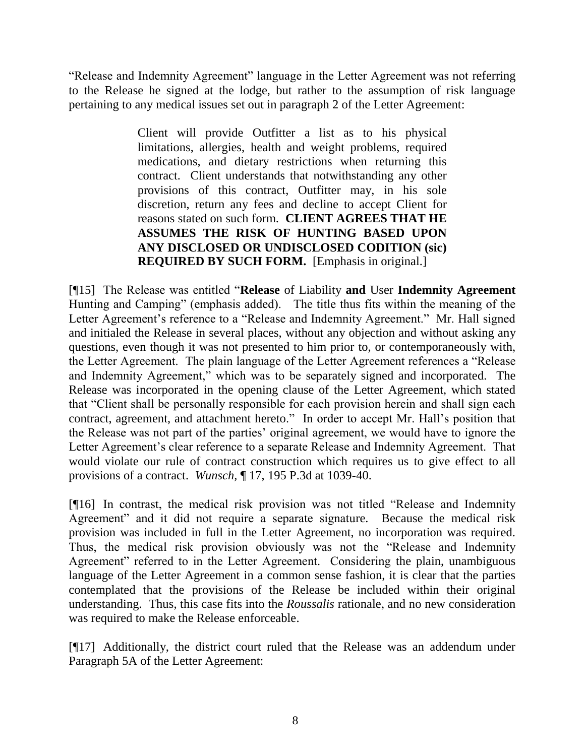"Release and Indemnity Agreement" language in the Letter Agreement was not referring to the Release he signed at the lodge, but rather to the assumption of risk language pertaining to any medical issues set out in paragraph 2 of the Letter Agreement:

> Client will provide Outfitter a list as to his physical limitations, allergies, health and weight problems, required medications, and dietary restrictions when returning this contract. Client understands that notwithstanding any other provisions of this contract, Outfitter may, in his sole discretion, return any fees and decline to accept Client for reasons stated on such form. **CLIENT AGREES THAT HE ASSUMES THE RISK OF HUNTING BASED UPON ANY DISCLOSED OR UNDISCLOSED CODITION (sic) REQUIRED BY SUCH FORM.** [Emphasis in original.]

[¶15] The Release was entitled "**Release** of Liability **and** User **Indemnity Agreement** Hunting and Camping" (emphasis added). The title thus fits within the meaning of the Letter Agreement's reference to a "Release and Indemnity Agreement." Mr. Hall signed and initialed the Release in several places, without any objection and without asking any questions, even though it was not presented to him prior to, or contemporaneously with, the Letter Agreement. The plain language of the Letter Agreement references a "Release and Indemnity Agreement," which was to be separately signed and incorporated. The Release was incorporated in the opening clause of the Letter Agreement, which stated that "Client shall be personally responsible for each provision herein and shall sign each contract, agreement, and attachment hereto." In order to accept Mr. Hall's position that the Release was not part of the parties' original agreement, we would have to ignore the Letter Agreement's clear reference to a separate Release and Indemnity Agreement. That would violate our rule of contract construction which requires us to give effect to all provisions of a contract. *Wunsch,* ¶ 17, 195 P.3d at 1039-40.

[¶16] In contrast, the medical risk provision was not titled "Release and Indemnity Agreement" and it did not require a separate signature. Because the medical risk provision was included in full in the Letter Agreement, no incorporation was required. Thus, the medical risk provision obviously was not the "Release and Indemnity Agreement" referred to in the Letter Agreement. Considering the plain, unambiguous language of the Letter Agreement in a common sense fashion, it is clear that the parties contemplated that the provisions of the Release be included within their original understanding. Thus, this case fits into the *Roussalis* rationale, and no new consideration was required to make the Release enforceable.

[¶17] Additionally, the district court ruled that the Release was an addendum under Paragraph 5A of the Letter Agreement: